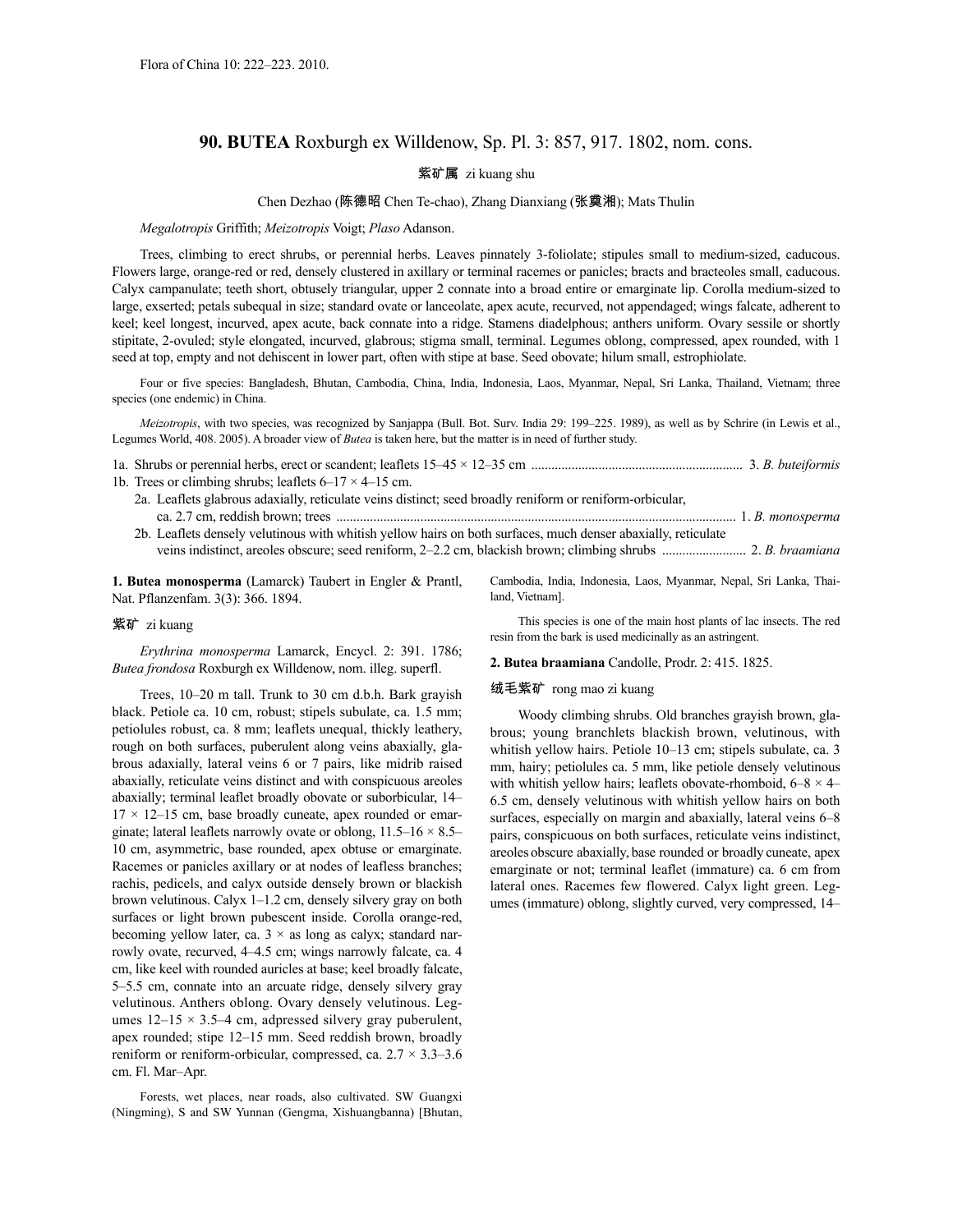# **90. BUTEA** Roxburgh ex Willdenow, Sp. Pl. 3: 857, 917. 1802, nom. cons.

### 紫矿属 zi kuang shu

### Chen Dezhao (陈德昭 Chen Te-chao), Zhang Dianxiang (张奠湘); Mats Thulin

*Megalotropis* Griffith; *Meizotropis* Voigt; *Plaso* Adanson.

Trees, climbing to erect shrubs, or perennial herbs. Leaves pinnately 3-foliolate; stipules small to medium-sized, caducous. Flowers large, orange-red or red, densely clustered in axillary or terminal racemes or panicles; bracts and bracteoles small, caducous. Calyx campanulate; teeth short, obtusely triangular, upper 2 connate into a broad entire or emarginate lip. Corolla medium-sized to large, exserted; petals subequal in size; standard ovate or lanceolate, apex acute, recurved, not appendaged; wings falcate, adherent to keel; keel longest, incurved, apex acute, back connate into a ridge. Stamens diadelphous; anthers uniform. Ovary sessile or shortly stipitate, 2-ovuled; style elongated, incurved, glabrous; stigma small, terminal. Legumes oblong, compressed, apex rounded, with 1 seed at top, empty and not dehiscent in lower part, often with stipe at base. Seed obovate; hilum small, estrophiolate.

Four or five species: Bangladesh, Bhutan, Cambodia, China, India, Indonesia, Laos, Myanmar, Nepal, Sri Lanka, Thailand, Vietnam; three species (one endemic) in China.

*Meizotropis*, with two species, was recognized by Sanjappa (Bull. Bot. Surv. India 29: 199–225. 1989), as well as by Schrire (in Lewis et al., Legumes World, 408. 2005). A broader view of *Butea* is taken here, but the matter is in need of further study.

- 1a. Shrubs or perennial herbs, erect or scandent; leaflets 15–45 × 12–35 cm ............................................................... 3. *B. buteiformis* 1b. Trees or climbing shrubs; leaflets  $6-17 \times 4-15$  cm.
	- 2a. Leaflets glabrous adaxially, reticulate veins distinct; seed broadly reniform or reniform-orbicular, ca. 2.7 cm, reddish brown; trees ....................................................................................................................... 1. *B. monosperma*
	- 2b. Leaflets densely velutinous with whitish yellow hairs on both surfaces, much denser abaxially, reticulate veins indistinct, areoles obscure; seed reniform, 2–2.2 cm, blackish brown; climbing shrubs ......................... 2. *B. braamiana*

**1. Butea monosperma** (Lamarck) Taubert in Engler & Prantl, Nat. Pflanzenfam. 3(3): 366. 1894.

#### 紫矿 zi kuang

*Erythrina monosperma* Lamarck, Encycl. 2: 391. 1786; *Butea frondosa* Roxburgh ex Willdenow, nom. illeg. superfl.

Trees, 10–20 m tall. Trunk to 30 cm d.b.h. Bark grayish black. Petiole ca. 10 cm, robust; stipels subulate, ca. 1.5 mm; petiolules robust, ca. 8 mm; leaflets unequal, thickly leathery, rough on both surfaces, puberulent along veins abaxially, glabrous adaxially, lateral veins 6 or 7 pairs, like midrib raised abaxially, reticulate veins distinct and with conspicuous areoles abaxially; terminal leaflet broadly obovate or suborbicular, 14–  $17 \times 12 - 15$  cm, base broadly cuneate, apex rounded or emarginate; lateral leaflets narrowly ovate or oblong,  $11.5-16 \times 8.5-$ 10 cm, asymmetric, base rounded, apex obtuse or emarginate. Racemes or panicles axillary or at nodes of leafless branches; rachis, pedicels, and calyx outside densely brown or blackish brown velutinous. Calyx 1–1.2 cm, densely silvery gray on both surfaces or light brown pubescent inside. Corolla orange-red, becoming yellow later, ca.  $3 \times$  as long as calyx; standard narrowly ovate, recurved, 4–4.5 cm; wings narrowly falcate, ca. 4 cm, like keel with rounded auricles at base; keel broadly falcate, 5–5.5 cm, connate into an arcuate ridge, densely silvery gray velutinous. Anthers oblong. Ovary densely velutinous. Legumes  $12-15 \times 3.5-4$  cm, adpressed silvery gray puberulent, apex rounded; stipe 12–15 mm. Seed reddish brown, broadly reniform or reniform-orbicular, compressed, ca.  $2.7 \times 3.3 - 3.6$ cm. Fl. Mar–Apr.

Forests, wet places, near roads, also cultivated. SW Guangxi (Ningming), S and SW Yunnan (Gengma, Xishuangbanna) [Bhutan, Cambodia, India, Indonesia, Laos, Myanmar, Nepal, Sri Lanka, Thailand, Vietnam].

This species is one of the main host plants of lac insects. The red resin from the bark is used medicinally as an astringent.

#### **2. Butea braamiana** Candolle, Prodr. 2: 415. 1825.

### 绒毛紫矿 rong mao zi kuang

Woody climbing shrubs. Old branches grayish brown, glabrous; young branchlets blackish brown, velutinous, with whitish yellow hairs. Petiole 10–13 cm; stipels subulate, ca. 3 mm, hairy; petiolules ca. 5 mm, like petiole densely velutinous with whitish yellow hairs; leaflets obovate-rhomboid,  $6-8 \times 4-$ 6.5 cm, densely velutinous with whitish yellow hairs on both surfaces, especially on margin and abaxially, lateral veins 6–8 pairs, conspicuous on both surfaces, reticulate veins indistinct, areoles obscure abaxially, base rounded or broadly cuneate, apex emarginate or not; terminal leaflet (immature) ca. 6 cm from lateral ones. Racemes few flowered. Calyx light green. Legumes (immature) oblong, slightly curved, very compressed, 14–